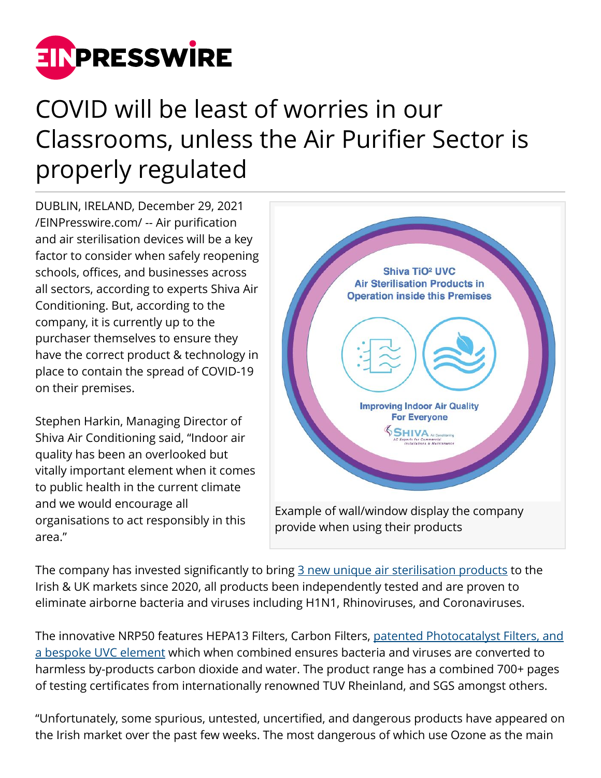

## COVID will be least of worries in our Classrooms, unless the Air Purifier Sector is properly regulated

DUBLIN, IRELAND, December 29, 2021 [/EINPresswire.com/](http://www.einpresswire.com) -- Air purification and air sterilisation devices will be a key factor to consider when safely reopening schools, offices, and businesses across all sectors, according to experts Shiva Air Conditioning. But, according to the company, it is currently up to the purchaser themselves to ensure they have the correct product & technology in place to contain the spread of COVID-19 on their premises.

Stephen Harkin, Managing Director of Shiva Air Conditioning said, "Indoor air quality has been an overlooked but vitally important element when it comes to public health in the current climate and we would encourage all organisations to act responsibly in this area."



The company has invested significantly to bring [3 new unique air sterilisation products](https://shiva.ie/products/) to the Irish & UK markets since 2020, all products been independently tested and are proven to eliminate airborne bacteria and viruses including H1N1, Rhinoviruses, and Coronaviruses.

The innovative NRP50 features HEPA13 Filters, Carbon Filters, [patented Photocatalyst Filters, and](https://shiva.ie/commercial-grade-air-purifier/) [a bespoke UVC element](https://shiva.ie/commercial-grade-air-purifier/) which when combined ensures bacteria and viruses are converted to harmless by-products carbon dioxide and water. The product range has a combined 700+ pages of testing certificates from internationally renowned TUV Rheinland, and SGS amongst others.

"Unfortunately, some spurious, untested, uncertified, and dangerous products have appeared on the Irish market over the past few weeks. The most dangerous of which use Ozone as the main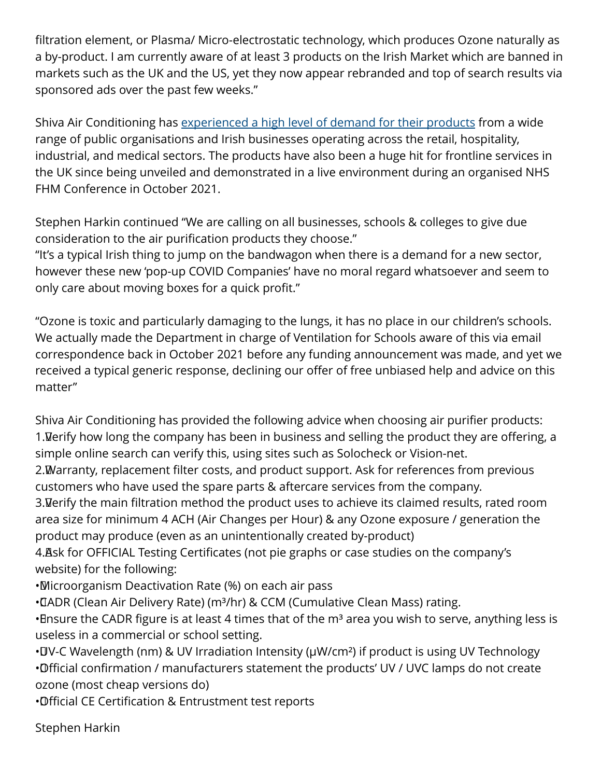filtration element, or Plasma/ Micro-electrostatic technology, which produces Ozone naturally as a by-product. I am currently aware of at least 3 products on the Irish Market which are banned in markets such as the UK and the US, yet they now appear rebranded and top of search results via sponsored ads over the past few weeks."

Shiva Air Conditioning has [experienced a high level of demand for their products](https://shiva.ie/products/) from a wide range of public organisations and Irish businesses operating across the retail, hospitality, industrial, and medical sectors. The products have also been a huge hit for frontline services in the UK since being unveiled and demonstrated in a live environment during an organised NHS FHM Conference in October 2021.

Stephen Harkin continued "We are calling on all businesses, schools & colleges to give due consideration to the air purification products they choose."

"It's a typical Irish thing to jump on the bandwagon when there is a demand for a new sector, however these new 'pop-up COVID Companies' have no moral regard whatsoever and seem to only care about moving boxes for a quick profit."

"Ozone is toxic and particularly damaging to the lungs, it has no place in our children's schools. We actually made the Department in charge of Ventilation for Schools aware of this via email correspondence back in October 2021 before any funding announcement was made, and yet we received a typical generic response, declining our offer of free unbiased help and advice on this matter"

Shiva Air Conditioning has provided the following advice when choosing air purifier products: 1. Verify how long the company has been in business and selling the product they are offering, a simple online search can verify this, using sites such as Solocheck or Vision-net.

2. Warranty, replacement filter costs, and product support. Ask for references from previous customers who have used the spare parts & aftercare services from the company.

3. Verify the main filtration method the product uses to achieve its claimed results, rated room area size for minimum 4 ACH (Air Changes per Hour) & any Ozone exposure / generation the product may produce (even as an unintentionally created by-product)

4. Ask for OFFICIAL Testing Certificates (not pie graphs or case studies on the company's website) for the following:

• Microorganism Deactivation Rate (%) on each air pass

• CIADR (Clean Air Delivery Rate) (m<sup>3</sup>/hr) & CCM (Cumulative Clean Mass) rating.

• Ensure the CADR figure is at least 4 times that of the m<sup>3</sup> area you wish to serve, anything less is useless in a commercial or school setting.

• IV-C Wavelength (nm) & UV Irradiation Intensity (μW/cm<sup>2</sup>) if product is using UV Technology • Official confirmation / manufacturers statement the products' UV / UVC lamps do not create ozone (most cheap versions do)

• Official CE Certification & Entrustment test reports

Stephen Harkin